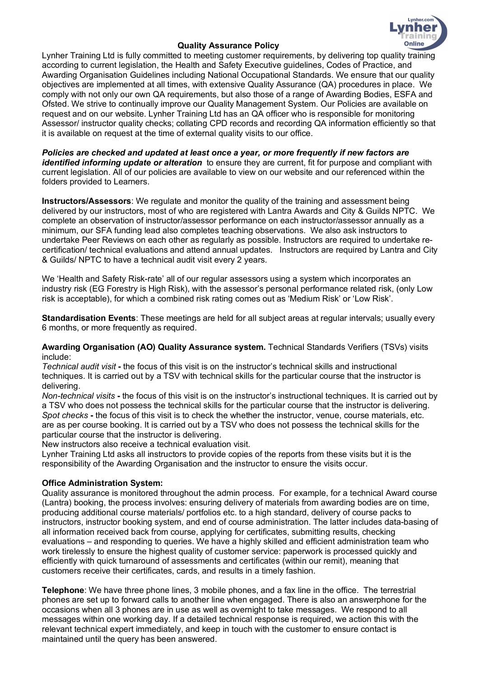

### **Quality Assurance Policy**

Lynher Training Ltd is fully committed to meeting customer requirements, by delivering top quality training according to current legislation, the Health and Safety Executive guidelines, Codes of Practice, and Awarding Organisation Guidelines including National Occupational Standards. We ensure that our quality objectives are implemented at all times, with extensive Quality Assurance (QA) procedures in place. We comply with not only our own QA requirements, but also those of a range of Awarding Bodies, ESFA and Ofsted. We strive to continually improve our Quality Management System. Our Policies are available on request and on our website. Lynher Training Ltd has an QA officer who is responsible for monitoring Assessor/ instructor quality checks; collating CPD records and recording QA information efficiently so that it is available on request at the time of external quality visits to our office.

*Policies are checked and updated at least once a year, or more frequently if new factors are identified informing update or alteration* to ensure they are current, fit for purpose and compliant with current legislation. All of our policies are available to view on our website and our referenced within the folders provided to Learners.

**Instructors/Assessors**: We regulate and monitor the quality of the training and assessment being delivered by our instructors, most of who are registered with Lantra Awards and City & Guilds NPTC. We complete an observation of instructor/assessor performance on each instructor/assessor annually as a minimum, our SFA funding lead also completes teaching observations. We also ask instructors to undertake Peer Reviews on each other as regularly as possible. Instructors are required to undertake recertification/ technical evaluations and attend annual updates. Instructors are required by Lantra and City & Guilds/ NPTC to have a technical audit visit every 2 years.

We 'Health and Safety Risk-rate' all of our regular assessors using a system which incorporates an industry risk (EG Forestry is High Risk), with the assessor's personal performance related risk, (only Low risk is acceptable), for which a combined risk rating comes out as 'Medium Risk' or 'Low Risk'.

**Standardisation Events**: These meetings are held for all subject areas at regular intervals; usually every 6 months, or more frequently as required.

**Awarding Organisation (AO) Quality Assurance system.** Technical Standards Verifiers (TSVs) visits include:

*Technical audit visit* **-** the focus of this visit is on the instructor's technical skills and instructional techniques. It is carried out by a TSV with technical skills for the particular course that the instructor is delivering.

*Non-technical visits* **-** the focus of this visit is on the instructor's instructional techniques. It is carried out by a TSV who does not possess the technical skills for the particular course that the instructor is delivering. *Spot checks* **-** the focus of this visit is to check the whether the instructor, venue, course materials, etc. are as per course booking. It is carried out by a TSV who does not possess the technical skills for the particular course that the instructor is delivering.

New instructors also receive a technical evaluation visit.

Lynher Training Ltd asks all instructors to provide copies of the reports from these visits but it is the responsibility of the Awarding Organisation and the instructor to ensure the visits occur.

### **Office Administration System:**

Quality assurance is monitored throughout the admin process. For example, for a technical Award course (Lantra) booking, the process involves: ensuring delivery of materials from awarding bodies are on time, producing additional course materials/ portfolios etc. to a high standard, delivery of course packs to instructors, instructor booking system, and end of course administration. The latter includes data-basing of all information received back from course, applying for certificates, submitting results, checking evaluations – and responding to queries. We have a highly skilled and efficient administration team who work tirelessly to ensure the highest quality of customer service: paperwork is processed quickly and efficiently with quick turnaround of assessments and certificates (within our remit), meaning that customers receive their certificates, cards, and results in a timely fashion.

**Telephone**: We have three phone lines, 3 mobile phones, and a fax line in the office. The terrestrial phones are set up to forward calls to another line when engaged. There is also an answerphone for the occasions when all 3 phones are in use as well as overnight to take messages. We respond to all messages within one working day. If a detailed technical response is required, we action this with the relevant technical expert immediately, and keep in touch with the customer to ensure contact is maintained until the query has been answered.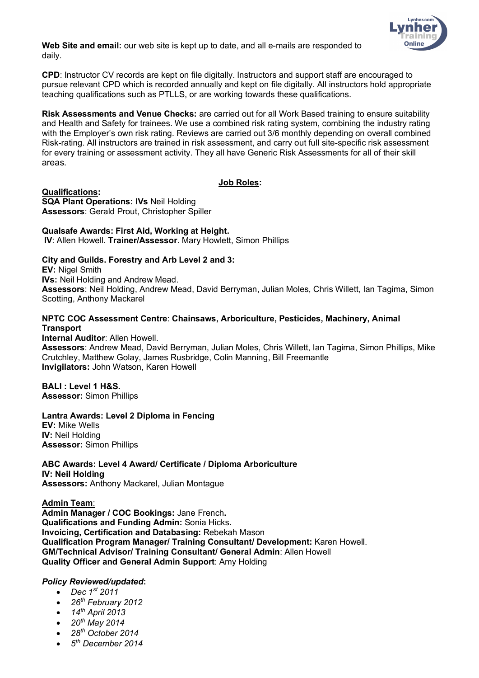

**Web Site and email:** our web site is kept up to date, and all e-mails are responded to daily.

**CPD**: Instructor CV records are kept on file digitally. Instructors and support staff are encouraged to pursue relevant CPD which is recorded annually and kept on file digitally. All instructors hold appropriate teaching qualifications such as PTLLS, or are working towards these qualifications.

**Risk Assessments and Venue Checks:** are carried out for all Work Based training to ensure suitability and Health and Safety for trainees. We use a combined risk rating system, combining the industry rating with the Employer's own risk rating. Reviews are carried out 3/6 monthly depending on overall combined Risk-rating. All instructors are trained in risk assessment, and carry out full site-specific risk assessment for every training or assessment activity. They all have Generic Risk Assessments for all of their skill areas.

## **Job Roles:**

**Qualifications: SQA Plant Operations: IVs** Neil Holding **Assessors**: Gerald Prout, Christopher Spiller

**Qualsafe Awards: First Aid, Working at Height.**

**IV**: Allen Howell. **Trainer/Assessor**. Mary Howlett, Simon Phillips

## **City and Guilds. Forestry and Arb Level 2 and 3:**

**EV:** Nigel Smith **IVs:** Neil Holding and Andrew Mead. **Assessors**: Neil Holding, Andrew Mead, David Berryman, Julian Moles, Chris Willett, Ian Tagima, Simon Scotting, Anthony Mackarel

## **NPTC COC Assessment Centre**: **Chainsaws, Arboriculture, Pesticides, Machinery, Animal Transport**

**Internal Auditor**: Allen Howell. **Assessors**: Andrew Mead, David Berryman, Julian Moles, Chris Willett, Ian Tagima, Simon Phillips, Mike Crutchley, Matthew Golay, James Rusbridge, Colin Manning, Bill Freemantle **Invigilators:** John Watson, Karen Howell

# **BALI : Level 1 H&S.**

**Assessor:** Simon Phillips

# **Lantra Awards: Level 2 Diploma in Fencing**

**EV:** Mike Wells **IV:** Neil Holding **Assessor:** Simon Phillips

**ABC Awards: Level 4 Award/ Certificate / Diploma Arboriculture IV: Neil Holding Assessors:** Anthony Mackarel, Julian Montague

**Admin Team**:

**Admin Manager / COC Bookings:** Jane French**. Qualifications and Funding Admin:** Sonia Hicks**. Invoicing, Certification and Databasing:** Rebekah Mason **Qualification Program Manager/ Training Consultant/ Development:** Karen Howell. **GM/Technical Advisor/ Training Consultant/ General Admin**: Allen Howell **Quality Officer and General Admin Support**: Amy Holding

### *Policy Reviewed/updated***:**

- *Dec 1st 2011*
- *26th February 2012*
- *14th April 2013*
- *20th May 2014*
- *28th October 2014*
- *5th December 2014*